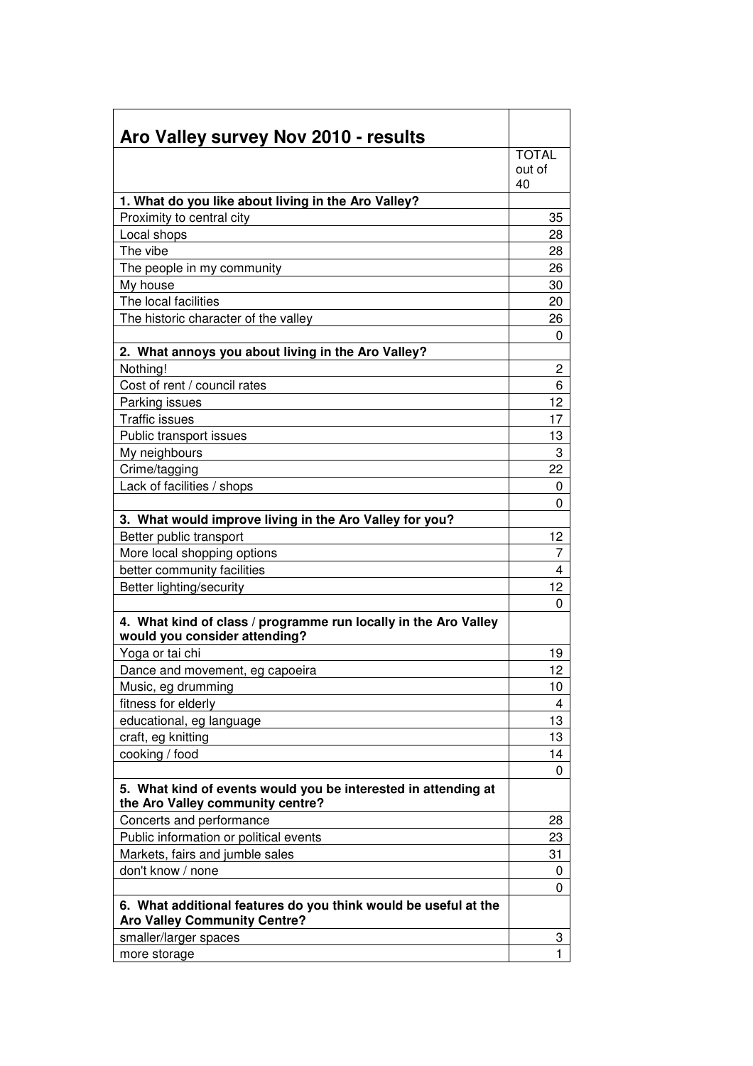| Aro Valley survey Nov 2010 - results                                                                   |              |
|--------------------------------------------------------------------------------------------------------|--------------|
|                                                                                                        | <b>TOTAL</b> |
|                                                                                                        | out of       |
|                                                                                                        | 40           |
| 1. What do you like about living in the Aro Valley?                                                    |              |
| Proximity to central city                                                                              | 35           |
| Local shops                                                                                            | 28           |
| The vibe                                                                                               | 28           |
| The people in my community                                                                             | 26           |
| My house                                                                                               | 30           |
| The local facilities                                                                                   | 20           |
| The historic character of the valley                                                                   | 26           |
|                                                                                                        | 0            |
| 2. What annoys you about living in the Aro Valley?                                                     |              |
| Nothing!                                                                                               | 2            |
| Cost of rent / council rates                                                                           | 6            |
| Parking issues                                                                                         | 12           |
| <b>Traffic issues</b>                                                                                  | 17           |
| Public transport issues                                                                                | 13           |
| My neighbours                                                                                          | 3            |
| Crime/tagging                                                                                          | 22           |
| Lack of facilities / shops                                                                             | 0            |
|                                                                                                        | 0            |
| 3. What would improve living in the Aro Valley for you?                                                |              |
| Better public transport                                                                                | 12           |
| More local shopping options                                                                            | 7            |
| better community facilities                                                                            | 4            |
| Better lighting/security                                                                               | 12           |
|                                                                                                        | 0            |
| 4. What kind of class / programme run locally in the Aro Valley<br>would you consider attending?       |              |
| Yoga or tai chi                                                                                        | 19           |
| Dance and movement, eg capoeira                                                                        | 12           |
| Music, eg drumming                                                                                     | 10           |
| fitness for elderly                                                                                    | 4            |
| educational, eg language                                                                               | 13           |
| craft, eg knitting                                                                                     | 13           |
| cooking / food                                                                                         | 14           |
|                                                                                                        | 0            |
| 5. What kind of events would you be interested in attending at<br>the Aro Valley community centre?     |              |
| Concerts and performance                                                                               | 28           |
| Public information or political events                                                                 | 23           |
| Markets, fairs and jumble sales                                                                        | 31           |
| don't know / none                                                                                      | 0            |
|                                                                                                        | 0            |
| 6. What additional features do you think would be useful at the<br><b>Aro Valley Community Centre?</b> |              |
| smaller/larger spaces                                                                                  | 3            |
| more storage                                                                                           | 1            |